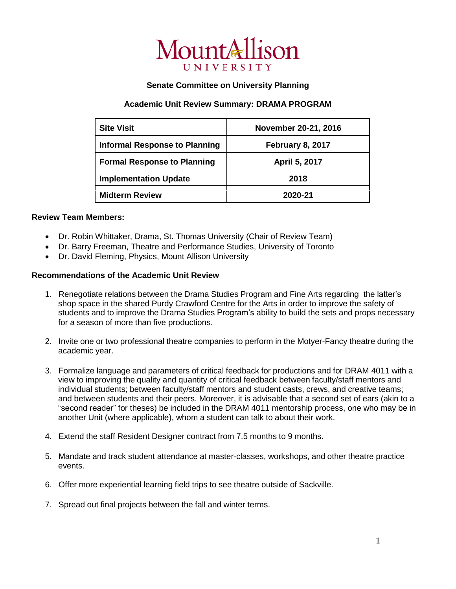

## **Senate Committee on University Planning**

## **Academic Unit Review Summary: DRAMA PROGRAM**

| <b>Site Visit</b>                    | November 20-21, 2016 |
|--------------------------------------|----------------------|
| <b>Informal Response to Planning</b> | February 8, 2017     |
| <b>Formal Response to Planning</b>   | April 5, 2017        |
| <b>Implementation Update</b>         | 2018                 |
| <b>Midterm Review</b>                | 2020-21              |

## **Review Team Members:**

- Dr. Robin Whittaker, Drama, St. Thomas University (Chair of Review Team)
- Dr. Barry Freeman, Theatre and Performance Studies, University of Toronto
- Dr. David Fleming, Physics, Mount Allison University

## **Recommendations of the Academic Unit Review**

- 1. Renegotiate relations between the Drama Studies Program and Fine Arts regarding the latter's shop space in the shared Purdy Crawford Centre for the Arts in order to improve the safety of students and to improve the Drama Studies Program's ability to build the sets and props necessary for a season of more than five productions.
- 2. Invite one or two professional theatre companies to perform in the Motyer-Fancy theatre during the academic year.
- 3. Formalize language and parameters of critical feedback for productions and for DRAM 4011 with a view to improving the quality and quantity of critical feedback between faculty/staff mentors and individual students; between faculty/staff mentors and student casts, crews, and creative teams; and between students and their peers. Moreover, it is advisable that a second set of ears (akin to a "second reader" for theses) be included in the DRAM 4011 mentorship process, one who may be in another Unit (where applicable), whom a student can talk to about their work.
- 4. Extend the staff Resident Designer contract from 7.5 months to 9 months.
- 5. Mandate and track student attendance at master-classes, workshops, and other theatre practice events.
- 6. Offer more experiential learning field trips to see theatre outside of Sackville.
- 7. Spread out final projects between the fall and winter terms.